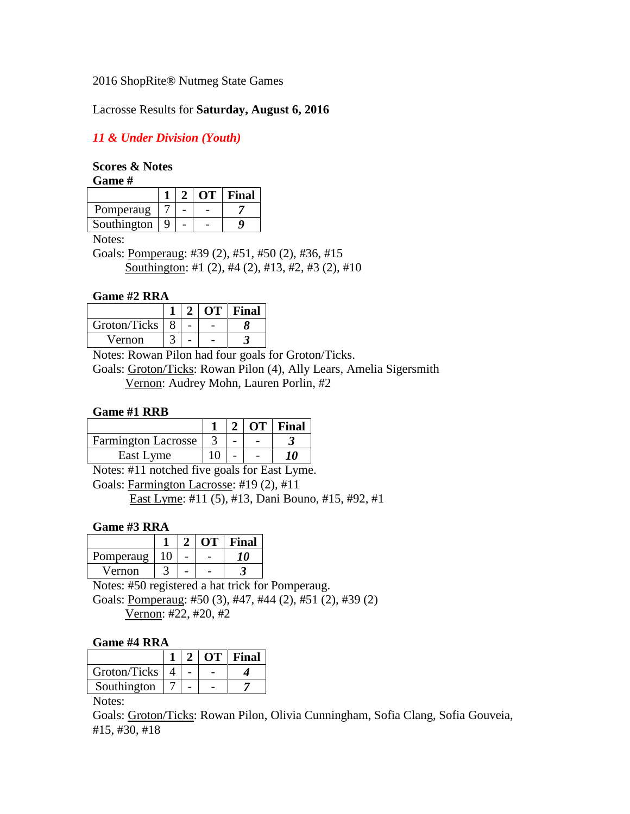### 2016 ShopRite® Nutmeg State Games

# Lacrosse Results for **Saturday, August 6, 2016**

# *11 & Under Division (Youth)*

# **Scores & Notes**

**Game #**

|             |  | OT - | Final |
|-------------|--|------|-------|
| Pomperaug   |  |      |       |
| Southington |  |      |       |

Notes:

Goals: Pomperaug: #39 (2), #51, #50 (2), #36, #15 Southington: #1 (2), #4 (2), #13, #2, #3 (2), #10

# **Game #2 RRA**

|              |  | OТ | Final |
|--------------|--|----|-------|
| Groton/Ticks |  |    |       |
| Vernon       |  |    |       |

Notes: Rowan Pilon had four goals for Groton/Ticks.

Goals: Groton/Ticks: Rowan Pilon (4), Ally Lears, Amelia Sigersmith Vernon: Audrey Mohn, Lauren Porlin, #2

### **Game #1 RRB**

|                            |  | $2   OT $ Final |
|----------------------------|--|-----------------|
| <b>Farmington Lacrosse</b> |  |                 |
| East Lyme                  |  |                 |

Notes: #11 notched five goals for East Lyme. Goals: Farmington Lacrosse: #19 (2), #11 East Lyme: #11 (5), #13, Dani Bouno, #15, #92, #1

# **Game #3 RRA**

|           |  | лт | Final |
|-----------|--|----|-------|
| Pomperaug |  |    |       |
| Vernon    |  |    |       |

Notes: #50 registered a hat trick for Pomperaug. Goals: Pomperaug: #50 (3), #47, #44 (2), #51 (2), #39 (2) Vernon: #22, #20, #2

### **Game #4 RRA**

|              |  | $\Omega$ | Final |
|--------------|--|----------|-------|
| Groton/Ticks |  |          |       |
| Southington  |  |          |       |

Notes:

Goals: Groton/Ticks: Rowan Pilon, Olivia Cunningham, Sofia Clang, Sofia Gouveia, #15, #30, #18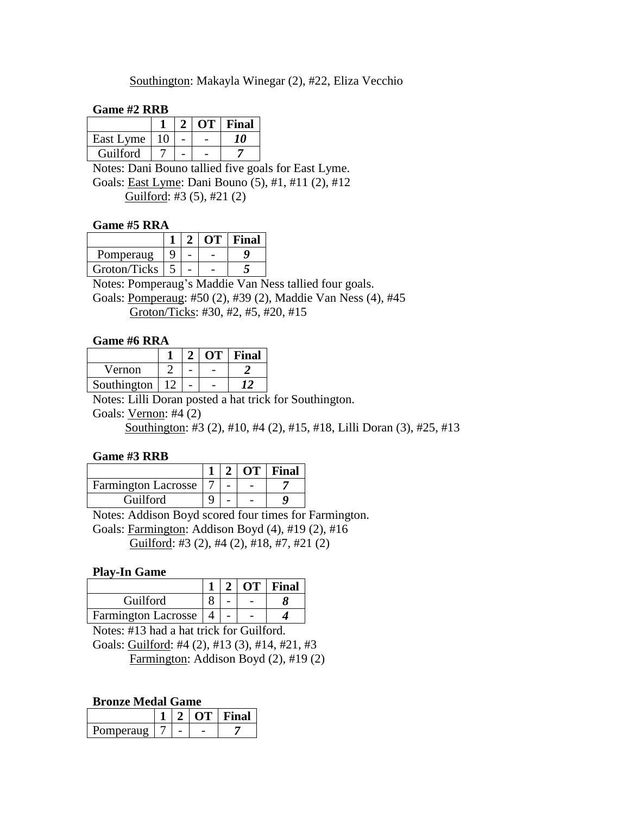### Southington: Makayla Winegar (2), #22, Eliza Vecchio

#### **Game #2 RRB**

|           |    |  | OT   Final |
|-----------|----|--|------------|
| East Lyme | 10 |  | m          |
| Guilford  |    |  |            |

Notes: Dani Bouno tallied five goals for East Lyme. Goals: East Lyme: Dani Bouno (5), #1, #11 (2), #12 Guilford: #3 (5), #21 (2)

#### **Game #5 RRA**

|              |  | Final |
|--------------|--|-------|
| Pomperaug    |  |       |
| Groton/Ticks |  |       |

Notes: Pomperaug's Maddie Van Ness tallied four goals.

Goals: Pomperaug: #50 (2), #39 (2), Maddie Van Ness (4), #45 Groton/Ticks: #30, #2, #5, #20, #15

### **Game #6 RRA**

|             |  | ΛT | Final |
|-------------|--|----|-------|
| Vernon      |  |    |       |
| Southington |  |    |       |

Notes: Lilli Doran posted a hat trick for Southington.

Goals: Vernon: #4 (2)

Southington: #3 (2), #10, #4 (2), #15, #18, Lilli Doran (3), #25, #13

### **Game #3 RRB**

|                            |  | $ 2 OT $ Final |
|----------------------------|--|----------------|
| <b>Farmington Lacrosse</b> |  |                |
| <b>Guilford</b>            |  |                |

Notes: Addison Boyd scored four times for Farmington. Goals: Farmington: Addison Boyd (4), #19 (2), #16 Guilford: #3 (2), #4 (2), #18, #7, #21 (2)

### **Play-In Game**

|                            |  | 2   OT  Final |
|----------------------------|--|---------------|
| Guilford                   |  |               |
| <b>Farmington Lacrosse</b> |  |               |

Notes: #13 had a hat trick for Guilford. Goals: Guilford: #4 (2), #13 (3), #14, #21, #3 Farmington: Addison Boyd (2), #19 (2)

### **Bronze Medal Game**

|           |  | ıяI |
|-----------|--|-----|
| 'omperaug |  |     |